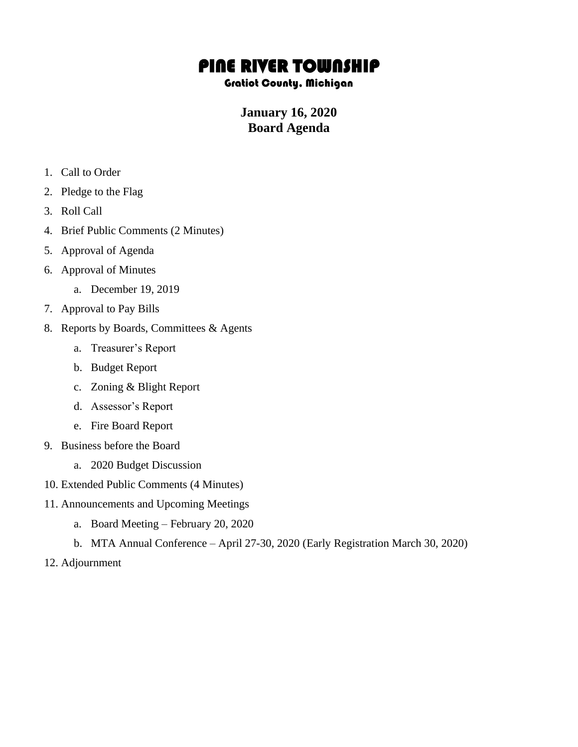## PINE RIVER TOWNSHIP

## Gratiot County, Michigan

## **January 16, 2020 Board Agenda**

- 1. Call to Order
- 2. Pledge to the Flag
- 3. Roll Call
- 4. Brief Public Comments (2 Minutes)
- 5. Approval of Agenda
- 6. Approval of Minutes
	- a. December 19, 2019
- 7. Approval to Pay Bills
- 8. Reports by Boards, Committees & Agents
	- a. Treasurer's Report
	- b. Budget Report
	- c. Zoning & Blight Report
	- d. Assessor's Report
	- e. Fire Board Report
- 9. Business before the Board
	- a. 2020 Budget Discussion
- 10. Extended Public Comments (4 Minutes)
- 11. Announcements and Upcoming Meetings
	- a. Board Meeting February 20, 2020
	- b. MTA Annual Conference April 27-30, 2020 (Early Registration March 30, 2020)
- 12. Adjournment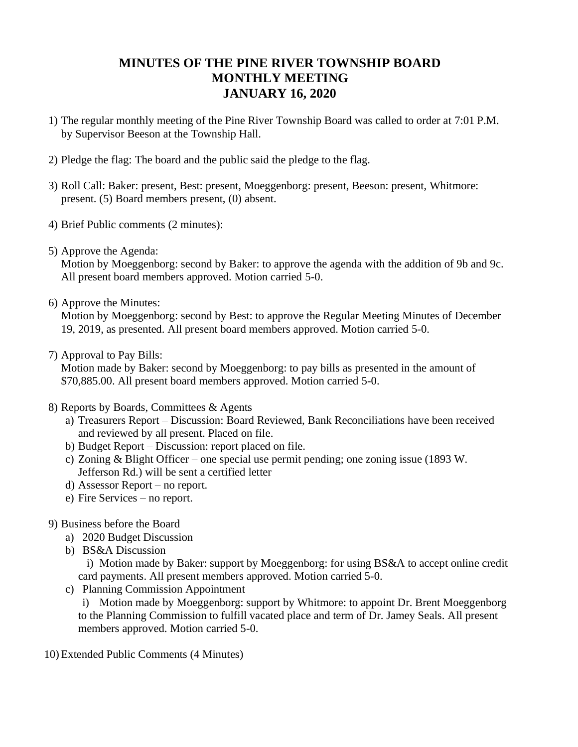## **MINUTES OF THE PINE RIVER TOWNSHIP BOARD MONTHLY MEETING JANUARY 16, 2020**

- 1) The regular monthly meeting of the Pine River Township Board was called to order at 7:01 P.M. by Supervisor Beeson at the Township Hall.
- 2) Pledge the flag: The board and the public said the pledge to the flag.
- 3) Roll Call: Baker: present, Best: present, Moeggenborg: present, Beeson: present, Whitmore: present. (5) Board members present, (0) absent.
- 4) Brief Public comments (2 minutes):
- 5) Approve the Agenda:

Motion by Moeggenborg: second by Baker: to approve the agenda with the addition of 9b and 9c. All present board members approved. Motion carried 5-0.

6) Approve the Minutes:

Motion by Moeggenborg: second by Best: to approve the Regular Meeting Minutes of December 19, 2019, as presented. All present board members approved. Motion carried 5-0.

7) Approval to Pay Bills:

Motion made by Baker: second by Moeggenborg: to pay bills as presented in the amount of \$70,885.00. All present board members approved. Motion carried 5-0.

- 8) Reports by Boards, Committees & Agents
	- a) Treasurers Report Discussion: Board Reviewed, Bank Reconciliations have been received and reviewed by all present. Placed on file.
	- b) Budget Report Discussion: report placed on file.
	- c) Zoning & Blight Officer one special use permit pending; one zoning issue (1893 W. Jefferson Rd.) will be sent a certified letter
	- d) Assessor Report no report.
	- e) Fire Services no report.
- 9) Business before the Board
	- a) 2020 Budget Discussion
	- b) BS&A Discussion

i) Motion made by Baker: support by Moeggenborg: for using BS&A to accept online credit card payments. All present members approved. Motion carried 5-0.

c) Planning Commission Appointment

i) Motion made by Moeggenborg: support by Whitmore: to appoint Dr. Brent Moeggenborg to the Planning Commission to fulfill vacated place and term of Dr. Jamey Seals. All present members approved. Motion carried 5-0.

10) Extended Public Comments (4 Minutes)